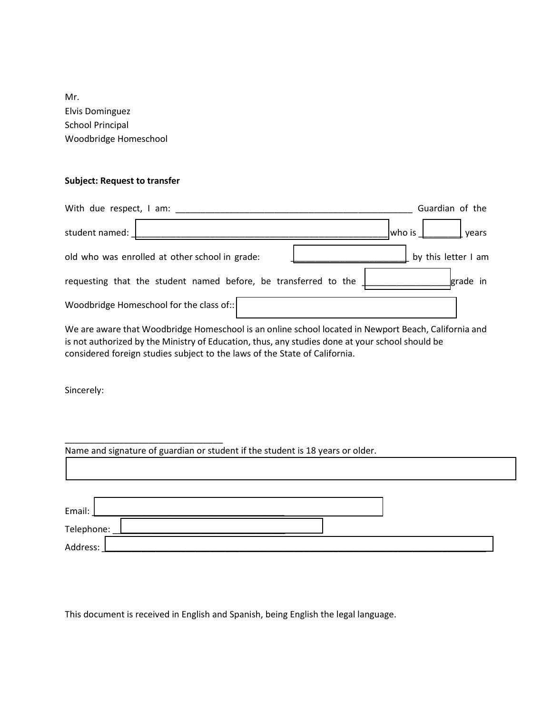Mr. Elvis Dominguez School Principal Woodbridge Homeschool

## **Subject: Request to transfer**

|                | With due respect, I am: ______                                  | Guardian of the     |
|----------------|-----------------------------------------------------------------|---------------------|
| student named: |                                                                 | years<br>who is     |
|                | old who was enrolled at other school in grade:                  | by this letter I am |
|                | requesting that the student named before, be transferred to the | grade in            |
|                | Woodbridge Homeschool for the class of::                        |                     |

We are aware that Woodbridge Homeschool is an online school located in Newport Beach, California and is not authorized by the Ministry of Education, thus, any studies done at your school should be considered foreign studies subject to the laws of the State of California.

Sincerely:

\_\_\_\_\_\_\_\_\_\_\_\_\_\_\_\_\_\_\_\_\_\_\_\_\_\_\_\_\_\_\_\_

Name and signature of guardian or student if the student is 18 years or older.

| Email:     |  |
|------------|--|
| Telephone: |  |
| Address:   |  |

This document is received in English and Spanish, being English the legal language.